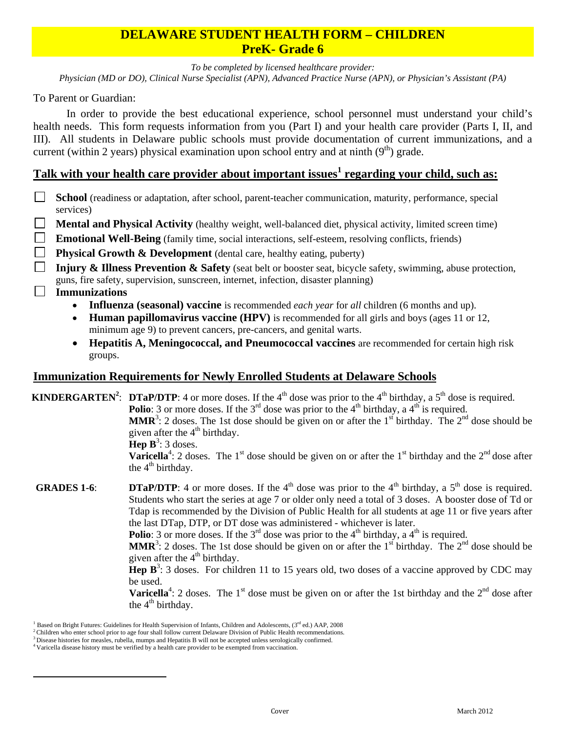## **DELAWARE STUDENT HEALTH FORM – CHILDREN PreK- Grade 6**

*To be completed by licensed healthcare provider:* 

*Physician (MD or DO), Clinical Nurse Specialist (APN), Advanced Practice Nurse (APN), or Physician's Assistant (PA)* 

To Parent or Guardian:

 In order to provide the best educational experience, school personnel must understand your child's health needs. This form requests information from you (Part I) and your health care provider (Parts I, II, and III). All students in Delaware public schools must provide documentation of current immunizations, and a current (within 2 years) physical examination upon school entry and at ninth  $(9<sup>th</sup>)$  grade.

# **Talk with your health care provider about important issues<sup>1</sup> regarding your child, such as:**

- $\mathbb{R}^n$ **School** (readiness or adaptation, after school, parent-teacher communication, maturity, performance, special services)
- **Mental and Physical Activity** (healthy weight, well-balanced diet, physical activity, limited screen time)
- **Emotional Well-Being** (family time, social interactions, self-esteem, resolving conflicts, friends)
- **Physical Growth & Development** (dental care, healthy eating, puberty)
- **Injury & Illness Prevention & Safety** (seat belt or booster seat, bicycle safety, swimming, abuse protection, guns, fire safety, supervision, sunscreen, internet, infection, disaster planning)

### **Immunizations**

 $\overline{a}$ 

- **Influenza (seasonal) vaccine** is recommended *each year* for *all* children (6 months and up).
- **Human papillomavirus vaccine (HPV)** is recommended for all girls and boys (ages 11 or 12, minimum age 9) to prevent cancers, pre-cancers, and genital warts.
- **Hepatitis A, Meningococcal, and Pneumococcal vaccines** are recommended for certain high risk groups.

## **Immunization Requirements for Newly Enrolled Students at Delaware Schools**

**KINDERGARTEN<sup>2</sup>: DTaP/DTP:** 4 or more doses. If the 4<sup>th</sup> dose was prior to the 4<sup>th</sup> birthday, a 5<sup>th</sup> dose is required.

**Polio**: 3 or more doses. If the  $3^{rd}$  dose was prior to the  $4^{th}$  birthday, a  $4^{th}$  is required.

**MMR**<sup>3</sup>: 2 doses. The 1st dose should be given on or after the 1<sup>st</sup> birthday. The  $2^{nd}$  dose should be given after the  $4<sup>th</sup>$  birthday.

**Hep**  $\mathbf{B}^3$ **:** 3 doses.

**Varicella**<sup>4</sup>: 2 doses. The 1<sup>st</sup> dose should be given on or after the 1<sup>st</sup> birthday and the  $2<sup>nd</sup>$  dose after the  $4<sup>th</sup>$  birthday.

**GRADES 1-6: <b>DTaP/DTP**: 4 or more doses. If the 4<sup>th</sup> dose was prior to the 4<sup>th</sup> birthday, a 5<sup>th</sup> dose is required. Students who start the series at age 7 or older only need a total of 3 doses. A booster dose of Td or Tdap is recommended by the Division of Public Health for all students at age 11 or five years after the last DTap, DTP, or DT dose was administered - whichever is later.

**Polio**: 3 or more doses. If the  $3^{rd}$  dose was prior to the  $4^{th}$  birthday, a  $4^{th}$  is required.

**MMR**<sup>3</sup>: 2 doses. The 1st dose should be given on or after the 1<sup>st</sup> birthday. The  $2^{nd}$  dose should be given after the  $4<sup>th</sup>$  birthday.

**Hep**  $\mathbf{B}^3$ **:** 3 doses. For children 11 to 15 years old, two doses of a vaccine approved by CDC may be used.

**Varicella**<sup>4</sup>: 2 doses. The 1<sup>st</sup> dose must be given on or after the 1st birthday and the  $2<sup>nd</sup>$  dose after the  $4<sup>th</sup>$  birthday.

Based on Bright Futures: Guidelines for Health Supervision of Infants, Children and Adolescents, (3rd ed.) AAP, 2008

<sup>&</sup>lt;sup>2</sup> Children who enter school prior to age four shall follow current Delaware Division of Public Health recommendations.<br><sup>3</sup> Disease histories for measles, rubella, mumps and Hepatitis B will not be accepted unless serolog

<sup>4</sup> Varicella disease history must be verified by a health care provider to be exempted from vaccination.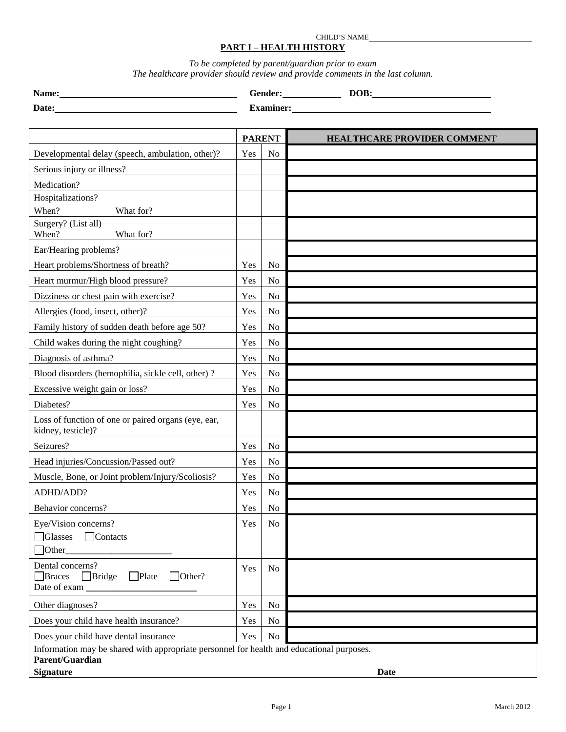#### CHILD'S NAME **PART I – HEALTH HISTORY**

*To be completed by parent/guardian prior to exam The healthcare provider should review and provide comments in the last column.* 

| Name: | Gender:          | DOB: |
|-------|------------------|------|
| Date: | <b>Examiner:</b> |      |

|                                                                                                                                         | <b>PARENT</b> |                | <b>HEALTHCARE PROVIDER COMMENT</b> |
|-----------------------------------------------------------------------------------------------------------------------------------------|---------------|----------------|------------------------------------|
| Developmental delay (speech, ambulation, other)?                                                                                        | Yes           | N <sub>o</sub> |                                    |
| Serious injury or illness?                                                                                                              |               |                |                                    |
| Medication?                                                                                                                             |               |                |                                    |
| Hospitalizations?                                                                                                                       |               |                |                                    |
| When?<br>What for?                                                                                                                      |               |                |                                    |
| Surgery? (List all)<br>When?<br>What for?                                                                                               |               |                |                                    |
| Ear/Hearing problems?                                                                                                                   |               |                |                                    |
| Heart problems/Shortness of breath?                                                                                                     | Yes           | N <sub>o</sub> |                                    |
| Heart murmur/High blood pressure?                                                                                                       | Yes           | N <sub>o</sub> |                                    |
| Dizziness or chest pain with exercise?                                                                                                  | Yes           | No             |                                    |
| Allergies (food, insect, other)?                                                                                                        | Yes           | N <sub>o</sub> |                                    |
| Family history of sudden death before age 50?                                                                                           | Yes           | N <sub>o</sub> |                                    |
| Child wakes during the night coughing?                                                                                                  | Yes           | No             |                                    |
| Diagnosis of asthma?                                                                                                                    | Yes           | N <sub>o</sub> |                                    |
| Blood disorders (hemophilia, sickle cell, other)?                                                                                       | Yes           | No             |                                    |
| Excessive weight gain or loss?                                                                                                          | Yes           | No             |                                    |
| Diabetes?                                                                                                                               | Yes           | No             |                                    |
| Loss of function of one or paired organs (eye, ear,<br>kidney, testicle)?                                                               |               |                |                                    |
| Seizures?                                                                                                                               | Yes           | N <sub>o</sub> |                                    |
| Head injuries/Concussion/Passed out?                                                                                                    | Yes           | N <sub>o</sub> |                                    |
| Muscle, Bone, or Joint problem/Injury/Scoliosis?                                                                                        | Yes           | N <sub>o</sub> |                                    |
| ADHD/ADD?                                                                                                                               | Yes           | No             |                                    |
| Behavior concerns?                                                                                                                      | Yes           | No             |                                    |
| Eye/Vision concerns?<br><b>Glasses</b><br>$\Box$ Contacts<br>$\Box$ Other                                                               | Yes           | N <sub>0</sub> |                                    |
| Dental concerns?<br>$\Box$ Plate<br>$\Box$ Bridge<br>$\Box$ Other?<br><b>Braces</b><br>Date of exam_                                    | Yes           | N <sub>o</sub> |                                    |
| Other diagnoses?                                                                                                                        | Yes           | No             |                                    |
| Does your child have health insurance?                                                                                                  | Yes           | No             |                                    |
| Does your child have dental insurance                                                                                                   | Yes           | No             |                                    |
| Information may be shared with appropriate personnel for health and educational purposes.<br><b>Parent/Guardian</b><br><b>Signature</b> |               |                | Date                               |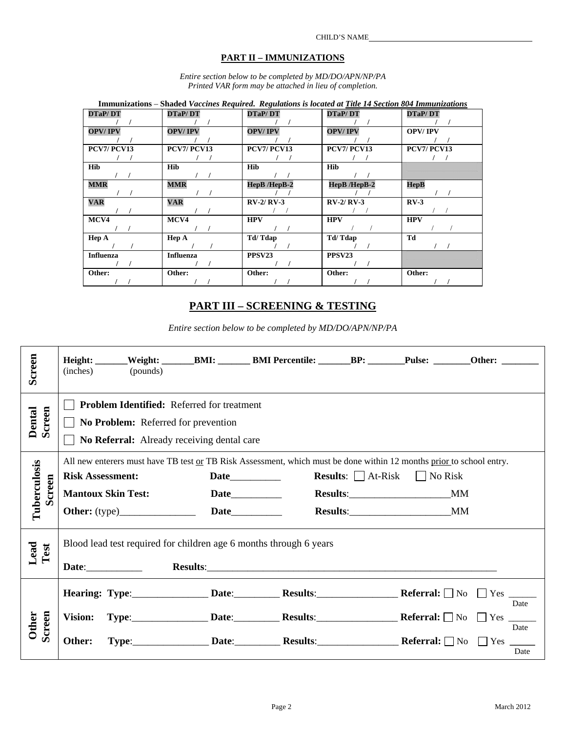#### **PART II – IMMUNIZATIONS**

*Entire section below to be completed by MD/DO/APN/NP/PA Printed VAR form may be attached in lieu of completion.* 

| Immunizations – Shaded Vaccines Required. Regulations is located at Title 14 Section 804 Immunizations |                  |                    |                |                |
|--------------------------------------------------------------------------------------------------------|------------------|--------------------|----------------|----------------|
| <b>DTaP/DT</b>                                                                                         | <b>DTaP/DT</b>   | <b>DTaP/DT</b>     | <b>DTaP/DT</b> | <b>DTaP/DT</b> |
|                                                                                                        |                  |                    |                |                |
| <b>OPV/IPV</b>                                                                                         | <b>OPV/IPV</b>   | <b>OPV/IPV</b>     | <b>OPV/IPV</b> | <b>OPV/IPV</b> |
|                                                                                                        |                  |                    |                |                |
| <b>PCV7/PCV13</b>                                                                                      | PCV7/PCV13       | PCV7/PCV13         | PCV7/PCV13     | PCV7/PCV13     |
|                                                                                                        |                  |                    |                |                |
| <b>Hib</b>                                                                                             | <b>Hib</b>       | <b>Hib</b>         | <b>Hib</b>     |                |
|                                                                                                        |                  |                    |                |                |
| <b>MMR</b>                                                                                             | <b>MMR</b>       | HepB/HepB-2        | HepB /HepB-2   | HepB           |
|                                                                                                        |                  |                    |                |                |
| <b>VAR</b>                                                                                             | <b>VAR</b>       | $RV-2/RV-3$        | $RV-2/RV-3$    | $RV-3$         |
|                                                                                                        |                  |                    |                |                |
| MCV4                                                                                                   | MCV4             | <b>HPV</b>         | <b>HPV</b>     | <b>HPV</b>     |
|                                                                                                        |                  |                    |                |                |
| Hep A                                                                                                  | Hep A            | Td/Tdap            | Td/Tdap        | Td             |
|                                                                                                        |                  |                    |                |                |
| <b>Influenza</b>                                                                                       | <b>Influenza</b> | PPSV <sub>23</sub> | PPSV23         |                |
|                                                                                                        |                  |                    |                |                |
| Other:                                                                                                 | Other:           | Other:             | Other:         | Other:         |
|                                                                                                        |                  |                    |                |                |

## **PART III – SCREENING & TESTING**

*Entire section below to be completed by MD/DO/APN/NP/PA* 

| Screen                        | Height: ______Weight: ________BMI: _________BMI Percentile: _______BP: ________Pulse: ________Other: ________<br>(inches)<br>(pounds)                                        |                                                                                                                                      |  |                                               |                      |
|-------------------------------|------------------------------------------------------------------------------------------------------------------------------------------------------------------------------|--------------------------------------------------------------------------------------------------------------------------------------|--|-----------------------------------------------|----------------------|
| Dental<br>Screen              | <b>Problem Identified:</b> Referred for treatment<br>No Problem: Referred for prevention<br>No Referral: Already receiving dental care                                       |                                                                                                                                      |  |                                               |                      |
| Tuberculosis<br><b>Screen</b> | All new enterers must have TB test or TB Risk Assessment, which must be done within 12 months prior to school entry.<br><b>Risk Assessment:</b><br><b>Mantoux Skin Test:</b> |                                                                                                                                      |  | <b>Results:</b> $\Box$ At-Risk $\Box$ No Risk |                      |
| Lead<br>Test                  | Blood lead test required for children age 6 months through 6 years<br>Date: Results: Results:                                                                                |                                                                                                                                      |  |                                               |                      |
| Screen<br>Other               | Vision:<br>Other:                                                                                                                                                            | $Type:$ Date: Results: Referral: $\Box$ No $\Box$ Yes $\Box$<br>$Type:$ Date: Date: Results: Results: Referral: $\Box$ No $\Box$ Yes |  |                                               | Date<br>Date<br>Date |